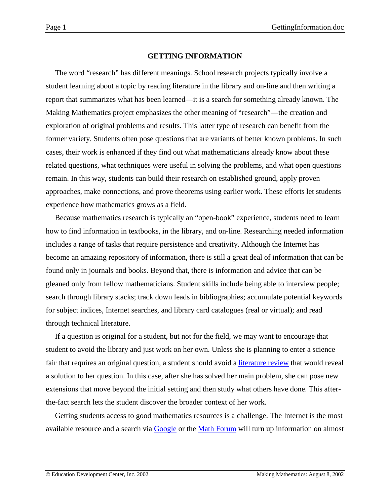### **GETTING INFORMATION**

<span id="page-0-0"></span>The word "research" has different meanings. School research projects typically involve a student learning about a topic by reading literature in the library and on-line and then writing a report that summarizes what has been learned—it is a search for something already known. The Making Mathematics project emphasizes the other meaning of "research"—the creation and exploration of original problems and results. This latter type of research can benefit from the former variety. Students often pose questions that are variants of better known problems. In such cases, their work is enhanced if they find out what mathematicians already know about these related questions, what techniques were useful in solving the problems, and what open questions remain. In this way, students can build their research on established ground, apply proven approaches, make connections, and prove theorems using earlier work. These efforts let students experience how mathematics grows as a field.

Because mathematics research is typically an "open-book" experience, students need to learn how to find information in textbooks, in the library, and on-line. Researching needed information includes a range of tasks that require persistence and creativity. Although the Internet has become an amazing repository of information, there is still a great deal of information that can be found only in journals and books. Beyond that, there is information and advice that can be gleaned only from fellow mathematicians. Student skills include being able to interview people; search through library stacks; track down leads in bibliographies; accumulate potential keywords for subject indices, Internet searches, and library card catalogues (real or virtual); and read through technical literature.

If a question is original for a student, but not for the field, we may want to encourage that student to avoid the library and just work on her own. Unless she is planning to enter a science fair that requires an original question, a student should avoid a [literature review](http://www2.edc.org/makingmath/handbook/teacher/PresentingYourResearch/PresentingYourResearch.asp#LitRev) that would reveal a solution to her question. In this case, after she has solved her main problem, she can pose new extensions that move beyond the initial setting and then study what others have done. This afterthe-fact search lets the student discover the broader context of her work.

Getting students access to good mathematics resources is a challenge. The Internet is the most available resource and a search via [Google](http://www.google.com/) or the [Math Forum](http://mathforum.org/) will turn up information on almost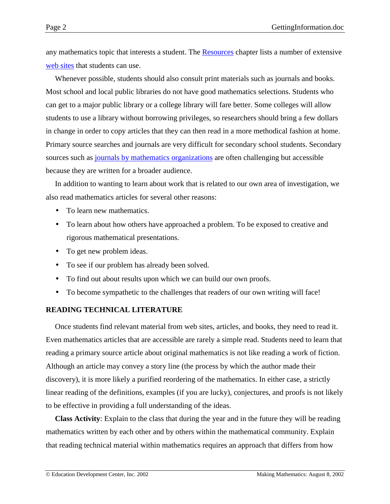any mathematics topic that interests a student. The **Resources** chapter lists a number of extensive [web sites](http://www2.edc.org/makingmath/handbook/teacher/resources/resources.asp#websites) that students can use.

Whenever possible, students should also consult print materials such as journals and books. Most school and local public libraries do not have good mathematics selections. Students who can get to a major public library or a college library will fare better. Some colleges will allow students to use a library without borrowing privileges, so researchers should bring a few dollars in change in order to copy articles that they can then read in a more methodical fashion at home. Primary source searches and journals are very difficult for secondary school students. Secondary sources such as [journals by mathematics organizations](http://www2.edc.org/makingmath/handbook/teacher/resources/resources.asp#periodicals) are often challenging but accessible because they are written for a broader audience.

In addition to wanting to learn about work that is related to our own area of investigation, we also read mathematics articles for several other reasons:

- To learn new mathematics.
- To learn about how others have approached a problem. To be exposed to creative and rigorous mathematical presentations.
- To get new problem ideas.
- To see if our problem has already been solved.
- To find out about results upon which we can build our own proofs.
- To become sympathetic to the challenges that readers of our own writing will face!

# **READING TECHNICAL LITERATURE**

Once students find relevant material from web sites, articles, and books, they need to read it. Even mathematics articles that are accessible are rarely a simple read. Students need to learn that reading a primary source article about original mathematics is not like reading a work of fiction. Although an article may convey a story line (the process by which the author made their discovery), it is more likely a purified reordering of the mathematics. In either case, a strictly linear reading of the definitions, examples (if you are lucky), conjectures, and proofs is not likely to be effective in providing a full understanding of the ideas.

**Class Activity**: Explain to the class that during the year and in the future they will be reading mathematics written by each other and by others within the mathematical community. Explain that reading technical material within mathematics requires an approach that differs from how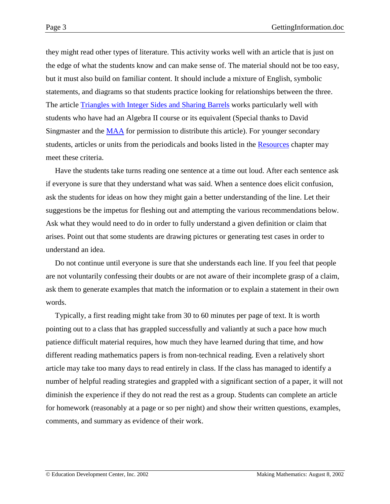they might read other types of literature. This activity works well with an article that is just on the edge of what the students know and can make sense of. The material should not be too easy, but it must also build on familiar content. It should include a mixture of English, symbolic statements, and diagrams so that students practice looking for relationships between the three. The article [Triangles with Integer Sides and Sharing Barrels](#page-0-0) works particularly well with students who have had an Algebra II course or its equivalent (Special thanks to David Singmaster and the [MAA](http://www.maa.org/) for permission to distribute this article). For younger secondary students, articles or units from the periodicals and books listed in the [Resources](http://www2.edc.org/makingmath/handbook/teacher/resources/resources.asp) chapter may meet these criteria.

Have the students take turns reading one sentence at a time out loud. After each sentence ask if everyone is sure that they understand what was said. When a sentence does elicit confusion, ask the students for ideas on how they might gain a better understanding of the line. Let their suggestions be the impetus for fleshing out and attempting the various recommendations below. Ask what they would need to do in order to fully understand a given definition or claim that arises. Point out that some students are drawing pictures or generating test cases in order to understand an idea.

Do not continue until everyone is sure that she understands each line. If you feel that people are not voluntarily confessing their doubts or are not aware of their incomplete grasp of a claim, ask them to generate examples that match the information or to explain a statement in their own words.

Typically, a first reading might take from 30 to 60 minutes per page of text. It is worth pointing out to a class that has grappled successfully and valiantly at such a pace how much patience difficult material requires, how much they have learned during that time, and how different reading mathematics papers is from non-technical reading. Even a relatively short article may take too many days to read entirely in class. If the class has managed to identify a number of helpful reading strategies and grappled with a significant section of a paper, it will not diminish the experience if they do not read the rest as a group. Students can complete an article for homework (reasonably at a page or so per night) and show their written questions, examples, comments, and summary as evidence of their work.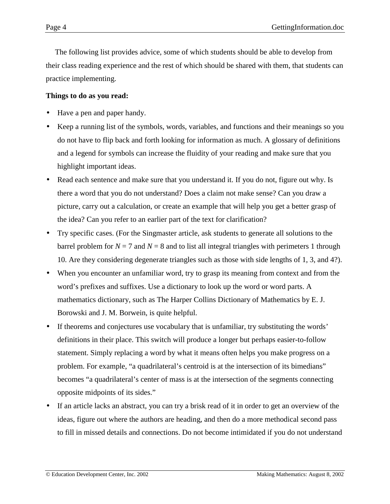The following list provides advice, some of which students should be able to develop from their class reading experience and the rest of which should be shared with them, that students can practice implementing.

# **Things to do as you read:**

- Have a pen and paper handy.
- Keep a running list of the symbols, words, variables, and functions and their meanings so you do not have to flip back and forth looking for information as much. A glossary of definitions and a legend for symbols can increase the fluidity of your reading and make sure that you highlight important ideas.
- Read each sentence and make sure that you understand it. If you do not, figure out why. Is there a word that you do not understand? Does a claim not make sense? Can you draw a picture, carry out a calculation, or create an example that will help you get a better grasp of the idea? Can you refer to an earlier part of the text for clarification?
- Try specific cases. (For the Singmaster article, ask students to generate all solutions to the barrel problem for  $N = 7$  and  $N = 8$  and to list all integral triangles with perimeters 1 through 10. Are they considering degenerate triangles such as those with side lengths of 1, 3, and 4?).
- When you encounter an unfamiliar word, try to grasp its meaning from context and from the word's prefixes and suffixes. Use a dictionary to look up the word or word parts. A mathematics dictionary, such as The Harper Collins Dictionary of Mathematics by E. J. Borowski and J. M. Borwein, is quite helpful.
- If theorems and conjectures use vocabulary that is unfamiliar, try substituting the words' definitions in their place. This switch will produce a longer but perhaps easier-to-follow statement. Simply replacing a word by what it means often helps you make progress on a problem. For example, "a quadrilateral's centroid is at the intersection of its bimedians" becomes "a quadrilateral's center of mass is at the intersection of the segments connecting opposite midpoints of its sides."
- If an article lacks an abstract, you can try a brisk read of it in order to get an overview of the ideas, figure out where the authors are heading, and then do a more methodical second pass to fill in missed details and connections. Do not become intimidated if you do not understand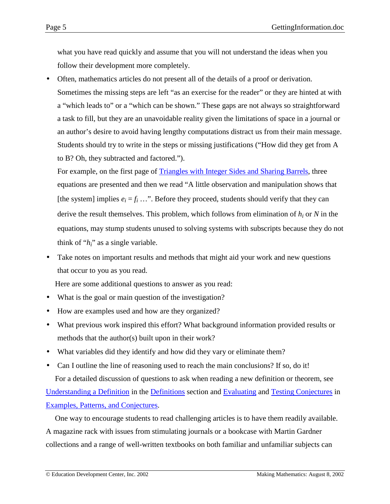what you have read quickly and assume that you will not understand the ideas when you follow their development more completely.

• Often, mathematics articles do not present all of the details of a proof or derivation. Sometimes the missing steps are left "as an exercise for the reader" or they are hinted at with a "which leads to" or a "which can be shown." These gaps are not always so straightforward a task to fill, but they are an unavoidable reality given the limitations of space in a journal or an author's desire to avoid having lengthy computations distract us from their main message. Students should try to write in the steps or missing justifications ("How did they get from A to B? Oh, they subtracted and factored.").

For example, on the first page of [Triangles with Integer Sides and Sharing Barrels,](#page-0-0) three equations are presented and then we read "A little observation and manipulation shows that [the system] implies  $e_i = f_i$  ...". Before they proceed, students should verify that they can derive the result themselves. This problem, which follows from elimination of *hi* or *N* in the equations, may stump students unused to solving systems with subscripts because they do not think of "*hi*" as a single variable.

Take notes on important results and methods that might aid your work and new questions that occur to you as you read.

Here are some additional questions to answer as you read:

- What is the goal or main question of the investigation?
- How are examples used and how are they organized?
- What previous work inspired this effort? What background information provided results or methods that the author(s) built upon in their work?
- What variables did they identify and how did they vary or eliminate them?
- Can I outline the line of reasoning used to reach the main conclusions? If so, do it! For a detailed discussion of questions to ask when reading a new definition or theorem, see [Understanding a Definition](http://www2.edc.org/makingmath/handbook/teacher/Definitions/Definitions.asp#UnderstandingADefinition) in the [Definitions](http://www2.edc.org/makingmath/handbook/teacher/Definitions/Definitions.asp) section and [Evaluating](http://www2.edc.org/makingmath/handbook/teacher/Conjectures/Conjectures.asp#EvaluatingConjectures) and [Testing Conjectures](http://www2.edc.org/makingmath/handbook/teacher/Conjectures/Conjectures.asp#TestingConjectures) in [Examples, Patterns, and Conjectures.](http://www2.edc.org/makingmath/handbook/teacher/Conjectures/Conjectures.asp)

One way to encourage students to read challenging articles is to have them readily available. A magazine rack with issues from stimulating journals or a bookcase with Martin Gardner collections and a range of well-written textbooks on both familiar and unfamiliar subjects can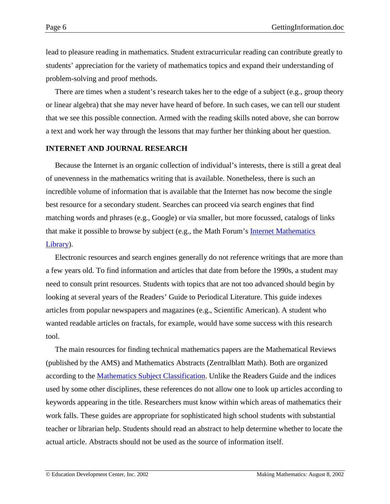lead to pleasure reading in mathematics. Student extracurricular reading can contribute greatly to students' appreciation for the variety of mathematics topics and expand their understanding of problem-solving and proof methods.

There are times when a student's research takes her to the edge of a subject (e.g., group theory or linear algebra) that she may never have heard of before. In such cases, we can tell our student that we see this possible connection. Armed with the reading skills noted above, she can borrow a text and work her way through the lessons that may further her thinking about her question.

#### **INTERNET AND JOURNAL RESEARCH**

Because the Internet is an organic collection of individual's interests, there is still a great deal of unevenness in the mathematics writing that is available. Nonetheless, there is such an incredible volume of information that is available that the Internet has now become the single best resource for a secondary student. Searches can proceed via search engines that find matching words and phrases (e.g., Google) or via smaller, but more focussed, catalogs of links that make it possible to browse by subject (e.g., the Math Forum's [Internet Mathematics](http://mathforum.org/library/toc.html) [Library\)](http://mathforum.org/library/toc.html).

Electronic resources and search engines generally do not reference writings that are more than a few years old. To find information and articles that date from before the 1990s, a student may need to consult print resources. Students with topics that are not too advanced should begin by looking at several years of the Readers' Guide to Periodical Literature. This guide indexes articles from popular newspapers and magazines (e.g., Scientific American). A student who wanted readable articles on fractals, for example, would have some success with this research tool.

The main resources for finding technical mathematics papers are the Mathematical Reviews (published by the AMS) and Mathematics Abstracts (Zentralblatt Math). Both are organized according to the [Mathematics Subject Classification.](http://www.ams.org/msc/) Unlike the Readers Guide and the indices used by some other disciplines, these references do not allow one to look up articles according to keywords appearing in the title. Researchers must know within which areas of mathematics their work falls. These guides are appropriate for sophisticated high school students with substantial teacher or librarian help. Students should read an abstract to help determine whether to locate the actual article. Abstracts should not be used as the source of information itself.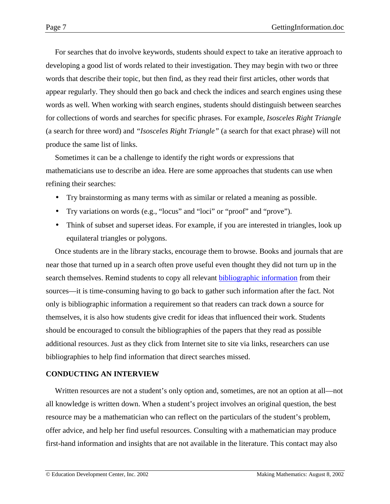For searches that do involve keywords, students should expect to take an iterative approach to developing a good list of words related to their investigation. They may begin with two or three words that describe their topic, but then find, as they read their first articles, other words that appear regularly. They should then go back and check the indices and search engines using these words as well. When working with search engines, students should distinguish between searches for collections of words and searches for specific phrases. For example, *Isosceles Right Triangle* (a search for three word) and *"Isosceles Right Triangle"* (a search for that exact phrase) will not produce the same list of links.

Sometimes it can be a challenge to identify the right words or expressions that mathematicians use to describe an idea. Here are some approaches that students can use when refining their searches:

- Try brainstorming as many terms with as similar or related a meaning as possible.
- Try variations on words (e.g., "locus" and "loci" or "proof" and "prove").
- Think of subset and superset ideas. For example, if you are interested in triangles, look up equilateral triangles or polygons.

Once students are in the library stacks, encourage them to browse. Books and journals that are near those that turned up in a search often prove useful even thought they did not turn up in the search themselves. Remind students to copy all relevant [bibliographic information](http://www2.edc.org/makingmath/handbook/teacher/PresentingYourResearch/PresentingYourResearch.asp#refs) from their sources—it is time-consuming having to go back to gather such information after the fact. Not only is bibliographic information a requirement so that readers can track down a source for themselves, it is also how students give credit for ideas that influenced their work. Students should be encouraged to consult the bibliographies of the papers that they read as possible additional resources. Just as they click from Internet site to site via links, researchers can use bibliographies to help find information that direct searches missed.

# **CONDUCTING AN INTERVIEW**

Written resources are not a student's only option and, sometimes, are not an option at all—not all knowledge is written down. When a student's project involves an original question, the best resource may be a mathematician who can reflect on the particulars of the student's problem, offer advice, and help her find useful resources. Consulting with a mathematician may produce first-hand information and insights that are not available in the literature. This contact may also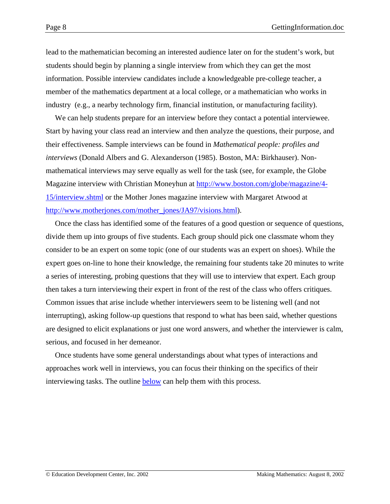lead to the mathematician becoming an interested audience later on for the student's work, but students should begin by planning a single interview from which they can get the most information. Possible interview candidates include a knowledgeable pre-college teacher, a member of the mathematics department at a local college, or a mathematician who works in industry (e.g., a nearby technology firm, financial institution, or manufacturing facility).

We can help students prepare for an interview before they contact a potential interviewee. Start by having your class read an interview and then analyze the questions, their purpose, and their effectiveness. Sample interviews can be found in *Mathematical people: profiles and interviews* (Donald Albers and G. Alexanderson (1985). Boston, MA: Birkhauser). Nonmathematical interviews may serve equally as well for the task (see, for example, the Globe Magazine interview with Christian Moneyhun at [http://www.boston.com/globe/magazine/4-](http://www.boston.com/globe/magazine/4-15/interview.shtml) [15/interview.shtml](http://www.boston.com/globe/magazine/4-15/interview.shtml) or the Mother Jones magazine interview with Margaret Atwood at [http://www.motherjones.com/mother\\_jones/JA97/visions.html\)](http://www.motherjones.com/mother_jones/JA97/visions.html).

Once the class has identified some of the features of a good question or sequence of questions, divide them up into groups of five students. Each group should pick one classmate whom they consider to be an expert on some topic (one of our students was an expert on shoes). While the expert goes on-line to hone their knowledge, the remaining four students take 20 minutes to write a series of interesting, probing questions that they will use to interview that expert. Each group then takes a turn interviewing their expert in front of the rest of the class who offers critiques. Common issues that arise include whether interviewers seem to be listening well (and not interrupting), asking follow-up questions that respond to what has been said, whether questions are designed to elicit explanations or just one word answers, and whether the interviewer is calm, serious, and focused in her demeanor.

Once students have some general understandings about what types of interactions and approaches work well in interviews, you can focus their thinking on the specifics of their interviewing tasks. The outline [below](#page-8-0) can help them with this process.